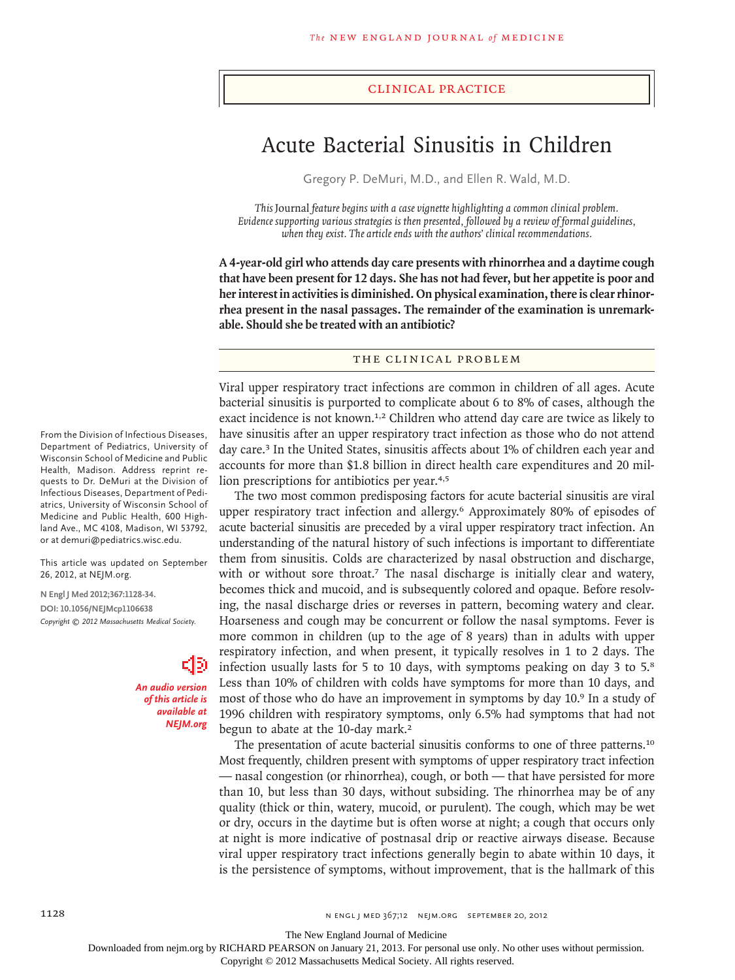## clinical practice

# Acute Bacterial Sinusitis in Children

Gregory P. DeMuri, M.D., and Ellen R. Wald, M.D.

*This* Journal *feature begins with a case vignette highlighting a common clinical problem. Evidence supporting various strategies is then presented, followed by a review of formal guidelines, when they exist. The article ends with the authors' clinical recommendations.* 

**A 4-year-old girl who attends day care presents with rhinorrhea and a daytime cough that have been present for 12 days. She has not had fever, but her appetite is poor and her interest in activities is diminished. On physical examination, there is clear rhinorrhea present in the nasal passages. The remainder of the examination is unremarkable. Should she be treated with an antibiotic?**

# THE CLINICAL PROBLEM

Viral upper respiratory tract infections are common in children of all ages. Acute bacterial sinusitis is purported to complicate about 6 to 8% of cases, although the exact incidence is not known.<sup>1,2</sup> Children who attend day care are twice as likely to have sinusitis after an upper respiratory tract infection as those who do not attend day care.<sup>3</sup> In the United States, sinusitis affects about 1% of children each year and accounts for more than \$1.8 billion in direct health care expenditures and 20 million prescriptions for antibiotics per year.4,5

The two most common predisposing factors for acute bacterial sinusitis are viral upper respiratory tract infection and allergy.6 Approximately 80% of episodes of acute bacterial sinusitis are preceded by a viral upper respiratory tract infection. An understanding of the natural history of such infections is important to differentiate them from sinusitis. Colds are characterized by nasal obstruction and discharge, with or without sore throat.<sup>7</sup> The nasal discharge is initially clear and watery, becomes thick and mucoid, and is subsequently colored and opaque. Before resolving, the nasal discharge dries or reverses in pattern, becoming watery and clear. Hoarseness and cough may be concurrent or follow the nasal symptoms. Fever is more common in children (up to the age of 8 years) than in adults with upper respiratory infection, and when present, it typically resolves in 1 to 2 days. The infection usually lasts for 5 to 10 days, with symptoms peaking on day 3 to 5.<sup>8</sup> Less than 10% of children with colds have symptoms for more than 10 days, and most of those who do have an improvement in symptoms by day 10.9 In a study of 1996 children with respiratory symptoms, only 6.5% had symptoms that had not begun to abate at the 10-day mark.<sup>2</sup>

The presentation of acute bacterial sinusitis conforms to one of three patterns.<sup>10</sup> Most frequently, children present with symptoms of upper respiratory tract infection — nasal congestion (or rhinorrhea), cough, or both — that have persisted for more than 10, but less than 30 days, without subsiding. The rhinorrhea may be of any quality (thick or thin, watery, mucoid, or purulent). The cough, which may be wet or dry, occurs in the daytime but is often worse at night; a cough that occurs only at night is more indicative of postnasal drip or reactive airways disease. Because viral upper respiratory tract infections generally begin to abate within 10 days, it is the persistence of symptoms, without improvement, that is the hallmark of this

From the Division of Infectious Diseases, Department of Pediatrics, University of Wisconsin School of Medicine and Public Health, Madison. Address reprint requests to Dr. DeMuri at the Division of Infectious Diseases, Department of Pediatrics, University of Wisconsin School of Medicine and Public Health, 600 Highland Ave., MC 4108, Madison, WI 53792, or at demuri@pediatrics.wisc.edu.

This article was updated on September 26, 2012, at NEJM.org.

**N Engl J Med 2012;367:1128-34. DOI: 10.1056/NEJMcp1106638** *Copyright © 2012 Massachusetts Medical Society.*

> *An audio version of this article is available at NEJM.org*

The New England Journal of Medicine

Downloaded from nejm.org by RICHARD PEARSON on January 21, 2013. For personal use only. No other uses without permission.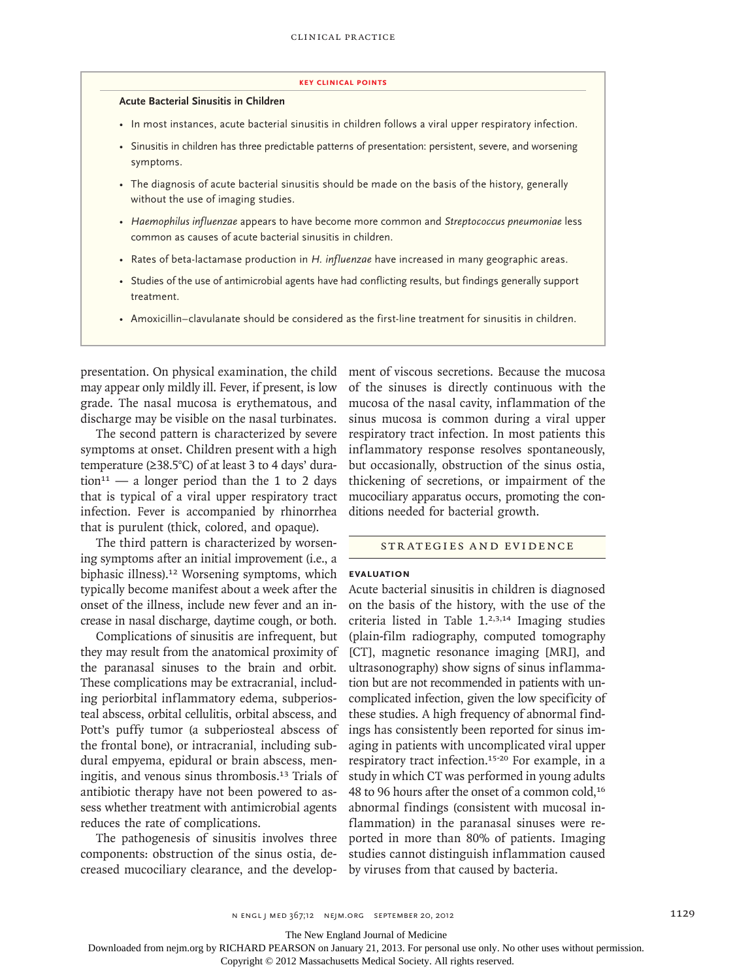#### **key Clinical points**

#### **Acute Bacterial Sinusitis in Children**

- In most instances, acute bacterial sinusitis in children follows a viral upper respiratory infection.
- Sinusitis in children has three predictable patterns of presentation: persistent, severe, and worsening symptoms.
- The diagnosis of acute bacterial sinusitis should be made on the basis of the history, generally without the use of imaging studies.
- *Haemophilus influenzae* appears to have become more common and *Streptococcus pneumoniae* less common as causes of acute bacterial sinusitis in children.
- Rates of beta-lactamase production in *H. influenzae* have increased in many geographic areas.
- Studies of the use of antimicrobial agents have had conflicting results, but findings generally support treatment.
- Amoxicillin–clavulanate should be considered as the first-line treatment for sinusitis in children.

presentation. On physical examination, the child may appear only mildly ill. Fever, if present, is low grade. The nasal mucosa is erythematous, and discharge may be visible on the nasal turbinates.

The second pattern is characterized by severe symptoms at onset. Children present with a high temperature (≥38.5°C) of at least 3 to 4 days' duration<sup>11</sup> — a longer period than the 1 to 2 days that is typical of a viral upper respiratory tract infection. Fever is accompanied by rhinorrhea that is purulent (thick, colored, and opaque).

The third pattern is characterized by worsening symptoms after an initial improvement (i.e., a biphasic illness).12 Worsening symptoms, which typically become manifest about a week after the onset of the illness, include new fever and an increase in nasal discharge, daytime cough, or both.

Complications of sinusitis are infrequent, but they may result from the anatomical proximity of the paranasal sinuses to the brain and orbit. These complications may be extracranial, including periorbital inflammatory edema, subperiosteal abscess, orbital cellulitis, orbital abscess, and Pott's puffy tumor (a subperiosteal abscess of the frontal bone), or intracranial, including subdural empyema, epidural or brain abscess, meningitis, and venous sinus thrombosis.13 Trials of antibiotic therapy have not been powered to assess whether treatment with antimicrobial agents reduces the rate of complications.

The pathogenesis of sinusitis involves three components: obstruction of the sinus ostia, decreased mucociliary clearance, and the development of viscous secretions. Because the mucosa of the sinuses is directly continuous with the mucosa of the nasal cavity, inflammation of the sinus mucosa is common during a viral upper respiratory tract infection. In most patients this inflammatory response resolves spontaneously, but occasionally, obstruction of the sinus ostia, thickening of secretions, or impairment of the mucociliary apparatus occurs, promoting the conditions needed for bacterial growth.

## STRATEGIES AND EVIDENCE

## **Evaluation**

Acute bacterial sinusitis in children is diagnosed on the basis of the history, with the use of the criteria listed in Table 1.2,3,14 Imaging studies (plain-film radiography, computed tomography [CT], magnetic resonance imaging [MRI], and ultrasonography) show signs of sinus inflammation but are not recommended in patients with uncomplicated infection, given the low specificity of these studies. A high frequency of abnormal findings has consistently been reported for sinus imaging in patients with uncomplicated viral upper respiratory tract infection.15-20 For example, in a study in which CT was performed in young adults 48 to 96 hours after the onset of a common cold,<sup>16</sup> abnormal findings (consistent with mucosal inflammation) in the paranasal sinuses were reported in more than 80% of patients. Imaging studies cannot distinguish inflammation caused by viruses from that caused by bacteria.

The New England Journal of Medicine

Downloaded from nejm.org by RICHARD PEARSON on January 21, 2013. For personal use only. No other uses without permission.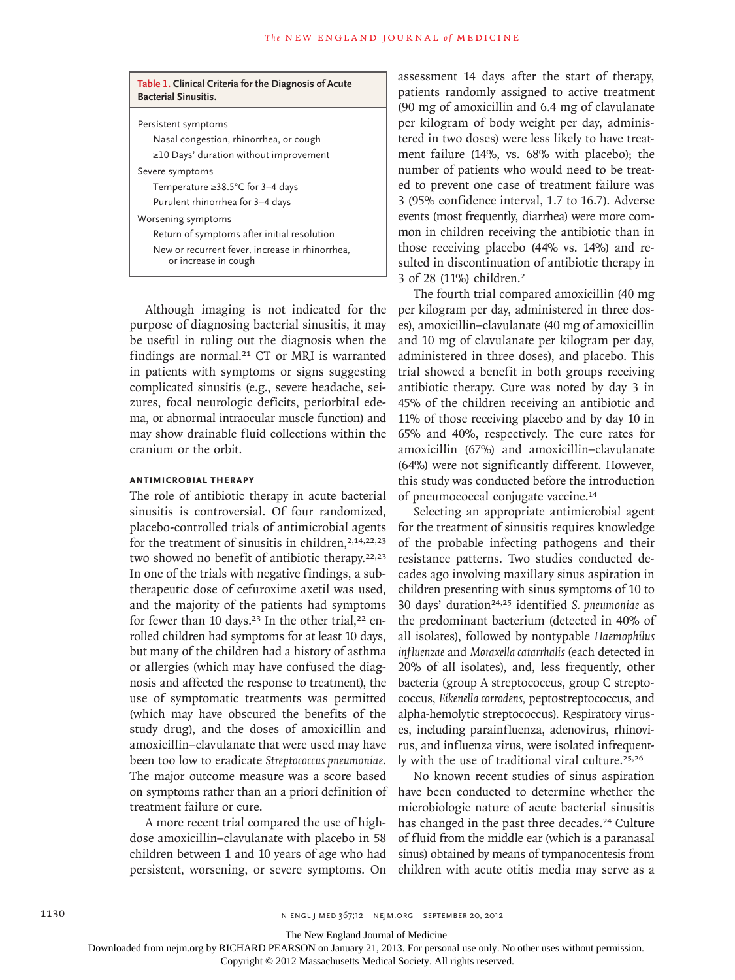| Table 1. Clinical Criteria for the Diagnosis of Acute<br><b>Bacterial Sinusitis.</b>                                                         |
|----------------------------------------------------------------------------------------------------------------------------------------------|
| Persistent symptoms<br>Nasal congestion, rhinorrhea, or cough                                                                                |
| $\geq$ 10 Days' duration without improvement                                                                                                 |
| Severe symptoms<br>Temperature $\geq$ 38.5°C for 3–4 days<br>Purulent rhinorrhea for 3-4 days                                                |
| Worsening symptoms<br>Return of symptoms after initial resolution<br>New or recurrent fever, increase in rhinorrhea,<br>or increase in cough |

Although imaging is not indicated for the purpose of diagnosing bacterial sinusitis, it may be useful in ruling out the diagnosis when the findings are normal.<sup>21</sup> CT or MRI is warranted in patients with symptoms or signs suggesting complicated sinusitis (e.g., severe headache, seizures, focal neurologic deficits, periorbital edema, or abnormal intraocular muscle function) and may show drainable fluid collections within the cranium or the orbit.

## **Antimicrobial Therapy**

The role of antibiotic therapy in acute bacterial sinusitis is controversial. Of four randomized, placebo-controlled trials of antimicrobial agents for the treatment of sinusitis in children,  $2,14,22,23$ two showed no benefit of antibiotic therapy.22,23 In one of the trials with negative findings, a subtherapeutic dose of cefuroxime axetil was used, and the majority of the patients had symptoms for fewer than 10 days.<sup>23</sup> In the other trial,<sup>22</sup> enrolled children had symptoms for at least 10 days, but many of the children had a history of asthma or allergies (which may have confused the diagnosis and affected the response to treatment), the use of symptomatic treatments was permitted (which may have obscured the benefits of the study drug), and the doses of amoxicillin and amoxicillin–clavulanate that were used may have been too low to eradicate *Streptococcus pneumoniae*. The major outcome measure was a score based on symptoms rather than an a priori definition of treatment failure or cure.

A more recent trial compared the use of highdose amoxicillin–clavulanate with placebo in 58 children between 1 and 10 years of age who had persistent, worsening, or severe symptoms. On assessment 14 days after the start of therapy, patients randomly assigned to active treatment (90 mg of amoxicillin and 6.4 mg of clavulanate per kilogram of body weight per day, administered in two doses) were less likely to have treatment failure (14%, vs. 68% with placebo); the number of patients who would need to be treated to prevent one case of treatment failure was 3 (95% confidence interval, 1.7 to 16.7). Adverse events (most frequently, diarrhea) were more common in children receiving the antibiotic than in those receiving placebo (44% vs. 14%) and resulted in discontinuation of antibiotic therapy in 3 of 28 (11%) children.<sup>2</sup>

The fourth trial compared amoxicillin (40 mg per kilogram per day, administered in three doses), amoxicillin–clavulanate (40 mg of amoxicillin and 10 mg of clavulanate per kilogram per day, administered in three doses), and placebo. This trial showed a benefit in both groups receiving antibiotic therapy. Cure was noted by day 3 in 45% of the children receiving an antibiotic and 11% of those receiving placebo and by day 10 in 65% and 40%, respectively. The cure rates for amoxicillin (67%) and amoxicillin–clavulanate (64%) were not significantly different. However, this study was conducted before the introduction of pneumococcal conjugate vaccine.<sup>14</sup>

Selecting an appropriate antimicrobial agent for the treatment of sinusitis requires knowledge of the probable infecting pathogens and their resistance patterns. Two studies conducted decades ago involving maxillary sinus aspiration in children presenting with sinus symptoms of 10 to 30 days' duration24,25 identified *S. pneumoniae* as the predominant bacterium (detected in 40% of all isolates), followed by nontypable *Haemophilus influenzae* and *Moraxella catarrhalis* (each detected in 20% of all isolates), and, less frequently, other bacteria (group A streptococcus, group C streptococcus, *Eikenella corrodens,* peptostreptococcus, and alpha-hemolytic streptococcus). Respiratory viruses, including parainfluenza, adenovirus, rhinovirus, and influenza virus, were isolated infrequently with the use of traditional viral culture.25,26

No known recent studies of sinus aspiration have been conducted to determine whether the microbiologic nature of acute bacterial sinusitis has changed in the past three decades.<sup>24</sup> Culture of fluid from the middle ear (which is a paranasal sinus) obtained by means of tympanocentesis from children with acute otitis media may serve as a

The New England Journal of Medicine

Downloaded from nejm.org by RICHARD PEARSON on January 21, 2013. For personal use only. No other uses without permission.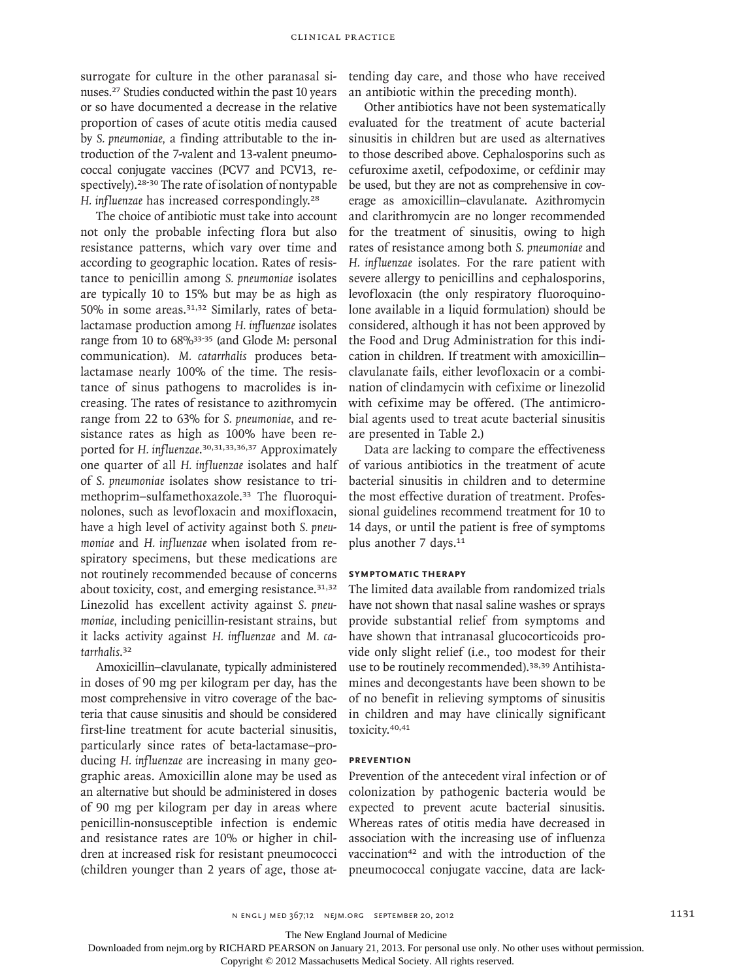surrogate for culture in the other paranasal sinuses.27 Studies conducted within the past 10 years or so have documented a decrease in the relative proportion of cases of acute otitis media caused by *S. pneumoniae,* a finding attributable to the introduction of the 7-valent and 13-valent pneumococcal conjugate vaccines (PCV7 and PCV13, respectively).28-30 The rate of isolation of nontypable *H. influenzae* has increased correspondingly.<sup>28</sup>

The choice of antibiotic must take into account not only the probable infecting flora but also resistance patterns, which vary over time and according to geographic location. Rates of resistance to penicillin among *S. pneumoniae* isolates are typically 10 to 15% but may be as high as 50% in some areas.31,32 Similarly, rates of betalactamase production among *H. influenzae* isolates range from 10 to 68%<sup>33-35</sup> (and Glode M: personal communication). *M. catarrhalis* produces betalactamase nearly 100% of the time. The resistance of sinus pathogens to macrolides is increasing. The rates of resistance to azithromycin range from 22 to 63% for *S. pneumoniae*, and resistance rates as high as 100% have been reported for *H. influenzae*. 30,31,33,36,37 Approximately one quarter of all *H. influenzae* isolates and half of *S. pneumoniae* isolates show resistance to trimethoprim–sulfamethoxazole.33 The fluoroquinolones, such as levofloxacin and moxifloxacin, have a high level of activity against both *S. pneumoniae* and *H. influenzae* when isolated from respiratory specimens, but these medications are not routinely recommended because of concerns about toxicity, cost, and emerging resistance.<sup>31,32</sup> Linezolid has excellent activity against *S. pneumoniae,* including penicillin-resistant strains, but it lacks activity against *H. influenzae* and *M. catarrhalis*. 32

Amoxicillin–clavulanate, typically administered in doses of 90 mg per kilogram per day, has the most comprehensive in vitro coverage of the bacteria that cause sinusitis and should be considered first-line treatment for acute bacterial sinusitis, particularly since rates of beta-lactamase–producing *H. influenzae* are increasing in many geographic areas. Amoxicillin alone may be used as an alternative but should be administered in doses of 90 mg per kilogram per day in areas where penicillin-nonsusceptible infection is endemic and resistance rates are 10% or higher in children at increased risk for resistant pneumococci (children younger than 2 years of age, those attending day care, and those who have received an antibiotic within the preceding month).

Other antibiotics have not been systematically evaluated for the treatment of acute bacterial sinusitis in children but are used as alternatives to those described above. Cephalosporins such as cefuroxime axetil, cefpodoxime, or cefdinir may be used, but they are not as comprehensive in coverage as amoxicillin–clavulanate. Azithromycin and clarithromycin are no longer recommended for the treatment of sinusitis, owing to high rates of resistance among both *S. pneumoniae* and *H. influenzae* isolates*.* For the rare patient with severe allergy to penicillins and cephalosporins, levofloxacin (the only respiratory fluoroquinolone available in a liquid formulation) should be considered, although it has not been approved by the Food and Drug Administration for this indication in children. If treatment with amoxicillin– clavulanate fails, either levofloxacin or a combination of clindamycin with cefixime or linezolid with cefixime may be offered. (The antimicrobial agents used to treat acute bacterial sinusitis are presented in Table 2.)

Data are lacking to compare the effectiveness of various antibiotics in the treatment of acute bacterial sinusitis in children and to determine the most effective duration of treatment. Professional guidelines recommend treatment for 10 to 14 days, or until the patient is free of symptoms plus another 7 days.<sup>11</sup>

## **Symptomatic Therapy**

The limited data available from randomized trials have not shown that nasal saline washes or sprays provide substantial relief from symptoms and have shown that intranasal glucocorticoids provide only slight relief (i.e., too modest for their use to be routinely recommended).<sup>38,39</sup> Antihistamines and decongestants have been shown to be of no benefit in relieving symptoms of sinusitis in children and may have clinically significant toxicity.40,41

## **Prevention**

Prevention of the antecedent viral infection or of colonization by pathogenic bacteria would be expected to prevent acute bacterial sinusitis. Whereas rates of otitis media have decreased in association with the increasing use of influenza vaccination<sup>42</sup> and with the introduction of the pneumococcal conjugate vaccine, data are lack-

The New England Journal of Medicine

Downloaded from nejm.org by RICHARD PEARSON on January 21, 2013. For personal use only. No other uses without permission.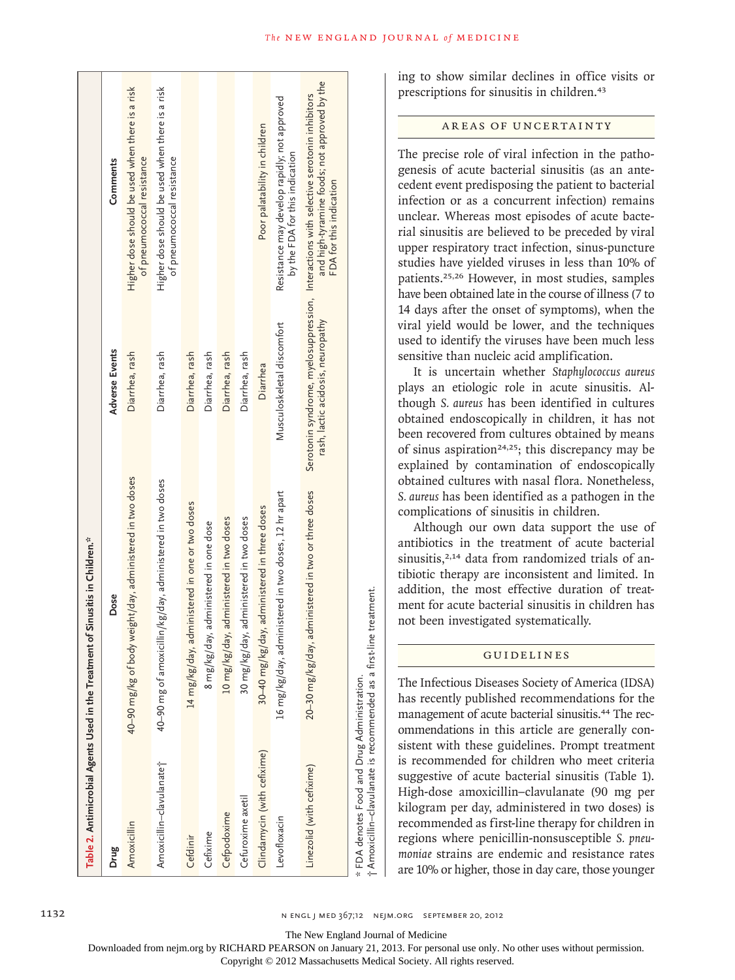|                                             | Table 2. Antimicrobial Agents Used in the Treatment of Sinusitis in Children.* |                                   |                                                                                                                                                                   |
|---------------------------------------------|--------------------------------------------------------------------------------|-----------------------------------|-------------------------------------------------------------------------------------------------------------------------------------------------------------------|
| Drug                                        | Dose                                                                           | <b>Adverse Events</b>             | Comments                                                                                                                                                          |
| Amoxicillin                                 | 40–90 mg/kg of body weight/day, administered in two doses                      | Diarrhea, rash                    | Higher dose should be used when there is a risk<br>of pneumococcal resistance                                                                                     |
| Amoxicillin-clavulanate <sup>+</sup>        | 40–90 mg of amoxicillin/kg/day, administered in two doses                      | Diarrhea, rash                    | Higher dose should be used when there is a risk<br>of pneumococcal resistance                                                                                     |
| Cefdinir                                    | 14 mg/kg/day, administered in one or two doses                                 | Diarrhea, rash                    |                                                                                                                                                                   |
| Cefixime                                    | 8 mg/kg/day, administered in one dose                                          | Diarrhea, rash                    |                                                                                                                                                                   |
| Cefpodoxime                                 | 10 mg/kg/day, administered in two doses                                        | Diarrhea, rash                    |                                                                                                                                                                   |
| Cefuroxime axetil                           | 30 mg/kg/day, administered in two doses                                        | Diarrhea, rash                    |                                                                                                                                                                   |
| Clindamycin (with cefixime)                 | 30–40 mg/kg/day, administered in three doses                                   | Diarrhea                          | Poor palatability in children                                                                                                                                     |
| Levofloxacin                                | 16 mg/kg/day, administered in two doses, 12 hr apart                           | Musculoskeletal discomtort        | Resistance may develop rapidly; not approved<br>by the FDA for this indication                                                                                    |
| Linezolid (with cefixime)                   | 20-30 mg/kg/day, administered in two or three doses                            | rash, lactic acidosis, neuropathy | and high-tyramine foods; not approved by the<br>Serotonin syndrome, myelosuppression, Interactions with selective serotonin inhibitors<br>FDA for this indication |
| * FDA denotes Food and Drug Administration. | †Amoxicillin-clavulanate is recommended as a first-line treatment.             |                                   |                                                                                                                                                                   |

ing to show similar declines in office visits or prescriptions for sinusitis in children.<sup>43</sup>

# AREAS OF UNCERTAINTY

The precise role of viral infection in the pathogenesis of acute bacterial sinusitis (as an antecedent event predisposing the patient to bacterial infection or as a concurrent infection) remains unclear. Whereas most episodes of acute bacterial sinusitis are believed to be preceded by viral upper respiratory tract infection, sinus-puncture studies have yielded viruses in less than 10% of patients.25,26 However, in most studies, samples have been obtained late in the course of illness (7 to 14 days after the onset of symptoms), when the viral yield would be lower, and the techniques used to identify the viruses have been much less sensitive than nucleic acid amplification.

It is uncertain whether *Staphylococcus aureus* plays an etiologic role in acute sinusitis. Although *S. aureus* has been identified in cultures obtained endoscopically in children, it has not been recovered from cultures obtained by means of sinus aspiration<sup>24,25</sup>; this discrepancy may be explained by contamination of endoscopically obtained cultures with nasal flora. Nonetheless, *S. aureus* has been identified as a pathogen in the complications of sinusitis in children.

Although our own data support the use of antibiotics in the treatment of acute bacterial sinusitis,<sup>2,14</sup> data from randomized trials of antibiotic therapy are inconsistent and limited. In addition, the most effective duration of treatment for acute bacterial sinusitis in children has not been investigated systematically.

# Guidelines

The Infectious Diseases Society of America (IDSA) has recently published recommendations for the management of acute bacterial sinusitis.44 The recommendations in this article are generally consistent with these guidelines. Prompt treatment is recommended for children who meet criteria suggestive of acute bacterial sinusitis (Table 1). High-dose amoxicillin–clavulanate (90 mg per kilogram per day, administered in two doses) is recommended as first-line therapy for children in regions where penicillin-nonsusceptible *S. pneumoniae* strains are endemic and resistance rates are 10% or higher, those in day care, those younger

The New England Journal of Medicine

†

Downloaded from nejm.org by RICHARD PEARSON on January 21, 2013. For personal use only. No other uses without permission.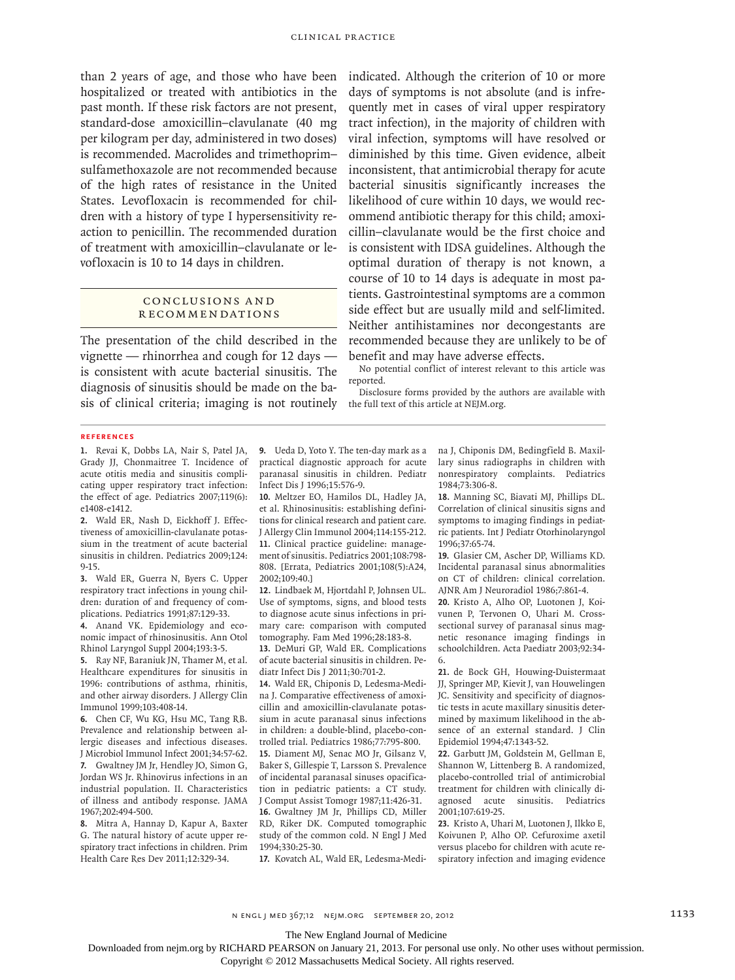than 2 years of age, and those who have been hospitalized or treated with antibiotics in the past month. If these risk factors are not present, standard-dose amoxicillin–clavulanate (40 mg per kilogram per day, administered in two doses) is recommended. Macrolides and trimethoprim– sulfamethoxazole are not recommended because of the high rates of resistance in the United States. Levofloxacin is recommended for children with a history of type I hypersensitivity reaction to penicillin. The recommended duration of treatment with amoxicillin–clavulanate or levofloxacin is 10 to 14 days in children.

## CONCLUSIONS AND R ecommendations

The presentation of the child described in the vignette — rhinorrhea and cough for 12 days is consistent with acute bacterial sinusitis. The diagnosis of sinusitis should be made on the basis of clinical criteria; imaging is not routinely indicated. Although the criterion of 10 or more days of symptoms is not absolute (and is infrequently met in cases of viral upper respiratory tract infection), in the majority of children with viral infection, symptoms will have resolved or diminished by this time. Given evidence, albeit inconsistent, that antimicrobial therapy for acute bacterial sinusitis significantly increases the likelihood of cure within 10 days, we would recommend antibiotic therapy for this child; amoxicillin–clavulanate would be the first choice and is consistent with IDSA guidelines. Although the optimal duration of therapy is not known, a course of 10 to 14 days is adequate in most patients. Gastrointestinal symptoms are a common side effect but are usually mild and self-limited. Neither antihistamines nor decongestants are recommended because they are unlikely to be of benefit and may have adverse effects.

No potential conflict of interest relevant to this article was reported.

Disclosure forms provided by the authors are available with the full text of this article at NEJM.org.

#### **References**

**1.** Revai K, Dobbs LA, Nair S, Patel JA, Grady JJ, Chonmaitree T. Incidence of acute otitis media and sinusitis complicating upper respiratory tract infection: the effect of age. Pediatrics 2007;119(6): e1408-e1412.

**2.** Wald ER, Nash D, Eickhoff J. Effectiveness of amoxicillin-clavulanate potassium in the treatment of acute bacterial sinusitis in children. Pediatrics 2009;124: 9-15.

**3.** Wald ER, Guerra N, Byers C. Upper respiratory tract infections in young children: duration of and frequency of complications. Pediatrics 1991;87:129-33.

**4.** Anand VK. Epidemiology and economic impact of rhinosinusitis. Ann Otol Rhinol Laryngol Suppl 2004;193:3-5.

**5.** Ray NF, Baraniuk JN, Thamer M, et al. Healthcare expenditures for sinusitis in 1996: contributions of asthma, rhinitis, and other airway disorders. J Allergy Clin Immunol 1999;103:408-14.

**6.** Chen CF, Wu KG, Hsu MC, Tang RB. Prevalence and relationship between allergic diseases and infectious diseases. J Microbiol Immunol Infect 2001;34:57-62. **7.** Gwaltney JM Jr, Hendley JO, Simon G, Jordan WS Jr. Rhinovirus infections in an industrial population. II. Characteristics of illness and antibody response. JAMA 1967;202:494-500.

**8.** Mitra A, Hannay D, Kapur A, Baxter G. The natural history of acute upper respiratory tract infections in children. Prim Health Care Res Dev 2011;12:329-34.

**9.** Ueda D, Yoto Y. The ten-day mark as a practical diagnostic approach for acute paranasal sinusitis in children. Pediatr Infect Dis J 1996;15:576-9.

**10.** Meltzer EO, Hamilos DL, Hadley JA, et al. Rhinosinusitis: establishing definitions for clinical research and patient care. J Allergy Clin Immunol 2004;114:155-212. **11.** Clinical practice guideline: management of sinusitis. Pediatrics 2001;108:798- 808. [Errata, Pediatrics 2001;108(5):A24, 2002;109:40.]

**12.** Lindbaek M, Hjortdahl P, Johnsen UL. Use of symptoms, signs, and blood tests to diagnose acute sinus infections in primary care: comparison with computed tomography. Fam Med 1996;28:183-8.

**13.** DeMuri GP, Wald ER. Complications of acute bacterial sinusitis in children. Pediatr Infect Dis J 2011;30:701-2.

**14.** Wald ER, Chiponis D, Ledesma-Medina J. Comparative effectiveness of amoxicillin and amoxicillin-clavulanate potassium in acute paranasal sinus infections in children: a double-blind, placebo-controlled trial. Pediatrics 1986;77:795-800. **15.** Diament MJ, Senac MO Jr, Gilsanz V, Baker S, Gillespie T, Larsson S. Prevalence of incidental paranasal sinuses opacification in pediatric patients: a CT study. J Comput Assist Tomogr 1987;11:426-31. **16.** Gwaltney JM Jr, Phillips CD, Miller RD, Riker DK. Computed tomographic study of the common cold. N Engl J Med 1994;330:25-30.

**17.** Kovatch AL, Wald ER, Ledesma-Medi-

na J, Chiponis DM, Bedingfield B. Maxillary sinus radiographs in children with nonrespiratory complaints. Pediatrics 1984;73:306-8.

**18.** Manning SC, Biavati MJ, Phillips DL. Correlation of clinical sinusitis signs and symptoms to imaging findings in pediatric patients. Int J Pediatr Otorhinolaryngol 1996;37:65-74.

**19.** Glasier CM, Ascher DP, Williams KD. Incidental paranasal sinus abnormalities on CT of children: clinical correlation. AJNR Am J Neuroradiol 1986;7:861-4.

**20.** Kristo A, Alho OP, Luotonen J, Koivunen P, Tervonen O, Uhari M. Crosssectional survey of paranasal sinus magnetic resonance imaging findings in schoolchildren. Acta Paediatr 2003;92:34- 6.

**21.** de Bock GH, Houwing-Duistermaat JJ, Springer MP, Kievit J, van Houwelingen JC. Sensitivity and specificity of diagnostic tests in acute maxillary sinusitis determined by maximum likelihood in the absence of an external standard. J Clin Epidemiol 1994;47:1343-52.

**22.** Garbutt JM, Goldstein M, Gellman E, Shannon W, Littenberg B. A randomized, placebo-controlled trial of antimicrobial treatment for children with clinically diagnosed acute sinusitis. Pediatrics 2001;107:619-25.

**23.** Kristo A, Uhari M, Luotonen J, Ilkko E, Koivunen P, Alho OP. Cefuroxime axetil versus placebo for children with acute respiratory infection and imaging evidence

The New England Journal of Medicine

Downloaded from nejm.org by RICHARD PEARSON on January 21, 2013. For personal use only. No other uses without permission.